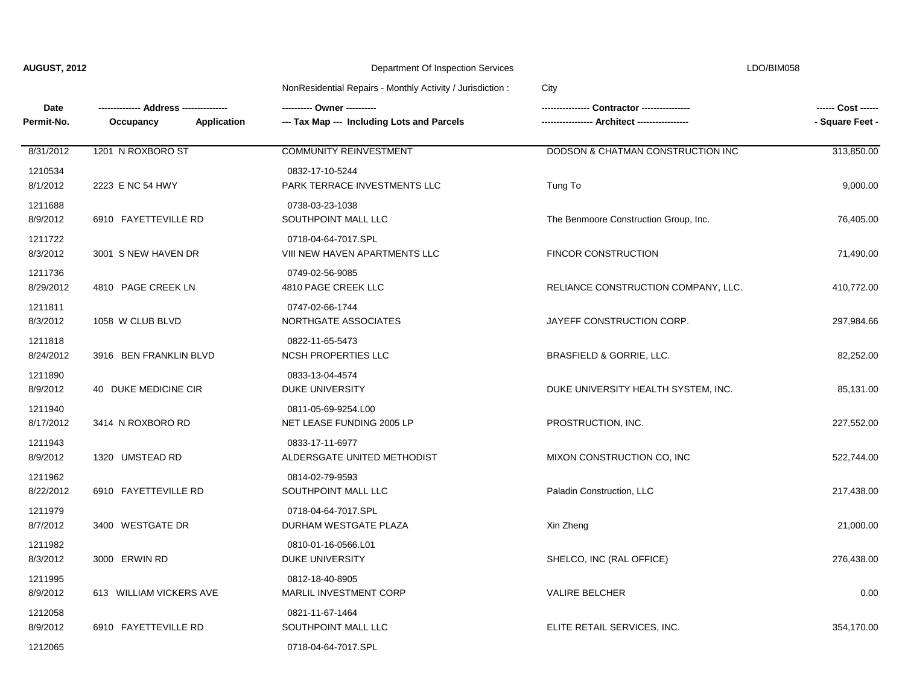| $\sim$ |  |
|--------|--|

| Date<br>Permit-No.   | Occupancy<br>Application | --- Tax Map --- Including Lots and Parcels           | Contractor ----------------<br>- Architect ----------------- | - Square Feet - |
|----------------------|--------------------------|------------------------------------------------------|--------------------------------------------------------------|-----------------|
| 8/31/2012            | 1201 N ROXBORO ST        | <b>COMMUNITY REINVESTMENT</b>                        | DODSON & CHATMAN CONSTRUCTION INC                            | 313,850.00      |
| 1210534<br>8/1/2012  | 2223 E NC 54 HWY         | 0832-17-10-5244<br>PARK TERRACE INVESTMENTS LLC      | Tung To                                                      | 9,000.00        |
| 1211688<br>8/9/2012  | 6910 FAYETTEVILLE RD     | 0738-03-23-1038<br>SOUTHPOINT MALL LLC               | The Benmoore Construction Group, Inc.                        | 76,405.00       |
| 1211722<br>8/3/2012  | 3001 S NEW HAVEN DR      | 0718-04-64-7017.SPL<br>VIII NEW HAVEN APARTMENTS LLC | <b>FINCOR CONSTRUCTION</b>                                   | 71,490.00       |
| 1211736<br>8/29/2012 | 4810 PAGE CREEK LN       | 0749-02-56-9085<br>4810 PAGE CREEK LLC               | RELIANCE CONSTRUCTION COMPANY, LLC.                          | 410,772.00      |
| 1211811<br>8/3/2012  | 1058 W CLUB BLVD         | 0747-02-66-1744<br>NORTHGATE ASSOCIATES              | JAYEFF CONSTRUCTION CORP.                                    | 297,984.66      |
| 1211818<br>8/24/2012 | 3916 BEN FRANKLIN BLVD   | 0822-11-65-5473<br><b>NCSH PROPERTIES LLC</b>        | BRASFIELD & GORRIE, LLC.                                     | 82,252.00       |
| 1211890<br>8/9/2012  | 40 DUKE MEDICINE CIR     | 0833-13-04-4574<br>DUKE UNIVERSITY                   | DUKE UNIVERSITY HEALTH SYSTEM, INC.                          | 85,131.00       |
| 1211940<br>8/17/2012 | 3414 N ROXBORO RD        | 0811-05-69-9254.L00<br>NET LEASE FUNDING 2005 LP     | PROSTRUCTION, INC.                                           | 227,552.00      |
| 1211943<br>8/9/2012  | 1320 UMSTEAD RD          | 0833-17-11-6977<br>ALDERSGATE UNITED METHODIST       | MIXON CONSTRUCTION CO, INC                                   | 522,744.00      |
| 1211962<br>8/22/2012 | 6910 FAYETTEVILLE RD     | 0814-02-79-9593<br>SOUTHPOINT MALL LLC               | Paladin Construction, LLC                                    | 217,438.00      |
| 1211979<br>8/7/2012  | 3400 WESTGATE DR         | 0718-04-64-7017.SPL<br>DURHAM WESTGATE PLAZA         | Xin Zheng                                                    | 21,000.00       |
| 1211982<br>8/3/2012  | 3000 ERWIN RD            | 0810-01-16-0566.L01<br>DUKE UNIVERSITY               | SHELCO, INC (RAL OFFICE)                                     | 276,438.00      |
| 1211995<br>8/9/2012  | 613 WILLIAM VICKERS AVE  | 0812-18-40-8905<br>MARLIL INVESTMENT CORP            | <b>VALIRE BELCHER</b>                                        | 0.00            |
| 1212058<br>8/9/2012  | 6910 FAYETTEVILLE RD     | 0821-11-67-1464<br>SOUTHPOINT MALL LLC               | ELITE RETAIL SERVICES, INC.                                  | 354,170.00      |
| 1212065              |                          | 0718-04-64-7017.SPL                                  |                                                              |                 |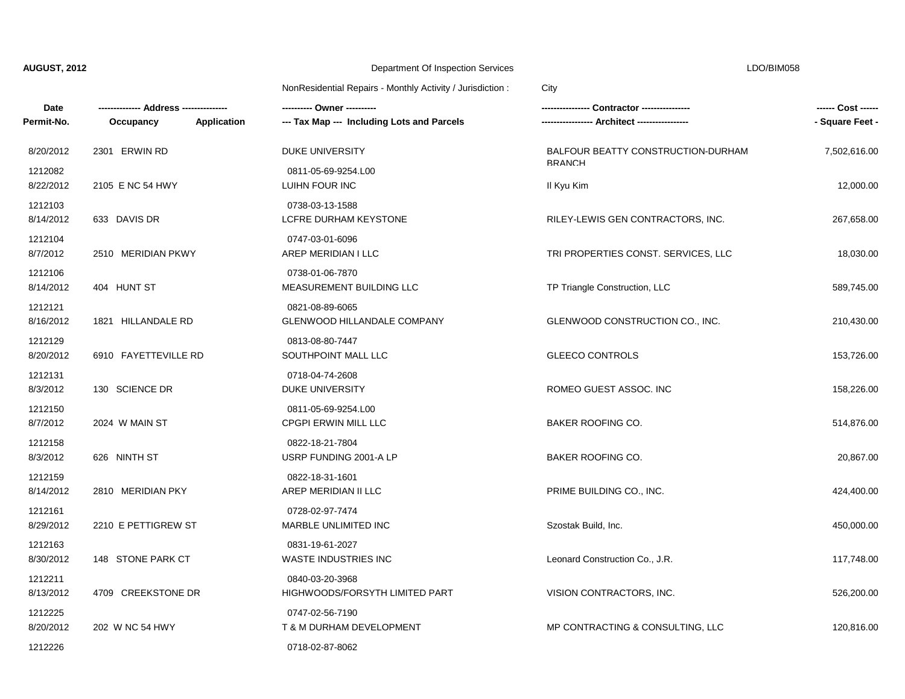| Date                 |                      | --------- Owner ----------                                |                                     | ------ Cost ------ |
|----------------------|----------------------|-----------------------------------------------------------|-------------------------------------|--------------------|
| Permit-No.           | Occupancy            | Application<br>--- Tax Map --- Including Lots and Parcels |                                     | - Square Feet -    |
| 8/20/2012            | 2301 ERWIN RD        | DUKE UNIVERSITY                                           | BALFOUR BEATTY CONSTRUCTION-DURHAM  | 7,502,616.00       |
| 1212082<br>8/22/2012 | 2105 E NC 54 HWY     | 0811-05-69-9254.L00<br>LUIHN FOUR INC                     | <b>BRANCH</b><br>II Kyu Kim         | 12,000.00          |
| 1212103<br>8/14/2012 | 633 DAVIS DR         | 0738-03-13-1588<br>LCFRE DURHAM KEYSTONE                  | RILEY-LEWIS GEN CONTRACTORS, INC.   | 267,658.00         |
| 1212104<br>8/7/2012  | 2510 MERIDIAN PKWY   | 0747-03-01-6096<br>AREP MERIDIAN I LLC                    | TRI PROPERTIES CONST. SERVICES, LLC | 18,030.00          |
| 1212106<br>8/14/2012 | 404 HUNT ST          | 0738-01-06-7870<br>MEASUREMENT BUILDING LLC               | TP Triangle Construction, LLC       | 589,745.00         |
| 1212121<br>8/16/2012 | 1821 HILLANDALE RD   | 0821-08-89-6065<br><b>GLENWOOD HILLANDALE COMPANY</b>     | GLENWOOD CONSTRUCTION CO., INC.     | 210,430.00         |
| 1212129<br>8/20/2012 | 6910 FAYETTEVILLE RD | 0813-08-80-7447<br>SOUTHPOINT MALL LLC                    | <b>GLEECO CONTROLS</b>              | 153,726.00         |
| 1212131<br>8/3/2012  | 130 SCIENCE DR       | 0718-04-74-2608<br>DUKE UNIVERSITY                        | ROMEO GUEST ASSOC. INC              | 158,226.00         |
| 1212150<br>8/7/2012  | 2024 W MAIN ST       | 0811-05-69-9254.L00<br>CPGPI ERWIN MILL LLC               | <b>BAKER ROOFING CO.</b>            | 514,876.00         |
| 1212158<br>8/3/2012  | 626 NINTH ST         | 0822-18-21-7804<br>USRP FUNDING 2001-A LP                 | <b>BAKER ROOFING CO.</b>            | 20,867.00          |
| 1212159<br>8/14/2012 | 2810 MERIDIAN PKY    | 0822-18-31-1601<br>AREP MERIDIAN II LLC                   | PRIME BUILDING CO., INC.            | 424,400.00         |
| 1212161<br>8/29/2012 | 2210 E PETTIGREW ST  | 0728-02-97-7474<br>MARBLE UNLIMITED INC                   | Szostak Build, Inc.                 | 450,000.00         |
| 1212163<br>8/30/2012 | 148 STONE PARK CT    | 0831-19-61-2027<br><b>WASTE INDUSTRIES INC</b>            | Leonard Construction Co., J.R.      | 117,748.00         |
| 1212211<br>8/13/2012 | 4709 CREEKSTONE DR   | 0840-03-20-3968<br>HIGHWOODS/FORSYTH LIMITED PART         | VISION CONTRACTORS, INC.            | 526,200.00         |
| 1212225<br>8/20/2012 | 202 W NC 54 HWY      | 0747-02-56-7190<br>T & M DURHAM DEVELOPMENT               | MP CONTRACTING & CONSULTING, LLC    | 120,816.00         |
| 1212226              |                      | 0718-02-87-8062                                           |                                     |                    |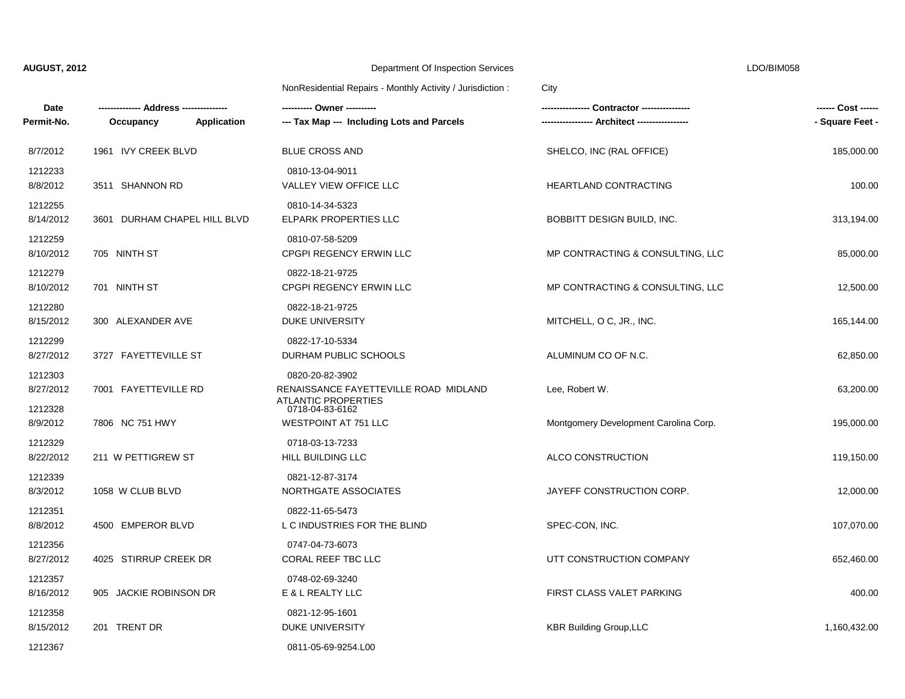| Date<br>Permit-No.   | Application<br>Occupancy     | --- Tax Map --- Including Lots and Parcels                                       | Contractor ---------------            | ------ Cost ------<br>- Square Feet - |
|----------------------|------------------------------|----------------------------------------------------------------------------------|---------------------------------------|---------------------------------------|
| 8/7/2012             | 1961 IVY CREEK BLVD          | <b>BLUE CROSS AND</b>                                                            | SHELCO, INC (RAL OFFICE)              | 185,000.00                            |
| 1212233<br>8/8/2012  | 3511 SHANNON RD              | 0810-13-04-9011<br>VALLEY VIEW OFFICE LLC                                        | HEARTLAND CONTRACTING                 | 100.00                                |
| 1212255<br>8/14/2012 | 3601 DURHAM CHAPEL HILL BLVD | 0810-14-34-5323<br><b>ELPARK PROPERTIES LLC</b>                                  | BOBBITT DESIGN BUILD, INC.            | 313,194.00                            |
| 1212259<br>8/10/2012 | 705 NINTH ST                 | 0810-07-58-5209<br>CPGPI REGENCY ERWIN LLC                                       | MP CONTRACTING & CONSULTING, LLC      | 85,000.00                             |
| 1212279<br>8/10/2012 | 701 NINTH ST                 | 0822-18-21-9725<br>CPGPI REGENCY ERWIN LLC                                       | MP CONTRACTING & CONSULTING, LLC      | 12,500.00                             |
| 1212280<br>8/15/2012 | 300 ALEXANDER AVE            | 0822-18-21-9725<br><b>DUKE UNIVERSITY</b>                                        | MITCHELL, O C, JR., INC.              | 165,144.00                            |
| 1212299<br>8/27/2012 | 3727 FAYETTEVILLE ST         | 0822-17-10-5334<br>DURHAM PUBLIC SCHOOLS                                         | ALUMINUM CO OF N.C.                   | 62,850.00                             |
| 1212303<br>8/27/2012 | 7001 FAYETTEVILLE RD         | 0820-20-82-3902<br>RENAISSANCE FAYETTEVILLE ROAD MIDLAND<br>ATI ANTIC PROPFRTIFS | Lee, Robert W.                        | 63,200.00                             |
| 1212328<br>8/9/2012  | 7806 NC 751 HWY              | 0718-04-83-6162<br><b>WESTPOINT AT 751 LLC</b>                                   | Montgomery Development Carolina Corp. | 195,000.00                            |
| 1212329<br>8/22/2012 | 211 W PETTIGREW ST           | 0718-03-13-7233<br>HILL BUILDING LLC                                             | ALCO CONSTRUCTION                     | 119,150.00                            |
| 1212339<br>8/3/2012  | 1058 W CLUB BLVD             | 0821-12-87-3174<br>NORTHGATE ASSOCIATES                                          | JAYEFF CONSTRUCTION CORP.             | 12,000.00                             |
| 1212351<br>8/8/2012  | 4500 EMPEROR BLVD            | 0822-11-65-5473<br>L C INDUSTRIES FOR THE BLIND                                  | SPEC-CON, INC.                        | 107,070.00                            |
| 1212356<br>8/27/2012 | 4025 STIRRUP CREEK DR        | 0747-04-73-6073<br>CORAL REEF TBC LLC                                            | UTT CONSTRUCTION COMPANY              | 652,460.00                            |
| 1212357<br>8/16/2012 | 905 JACKIE ROBINSON DR       | 0748-02-69-3240<br>E & L REALTY LLC                                              | FIRST CLASS VALET PARKING             | 400.00                                |
| 1212358<br>8/15/2012 | 201 TRENT DR                 | 0821-12-95-1601<br>DUKE UNIVERSITY                                               | <b>KBR Building Group, LLC</b>        | 1,160,432.00                          |
| 1212367              |                              | 0811-05-69-9254.L00                                                              |                                       |                                       |